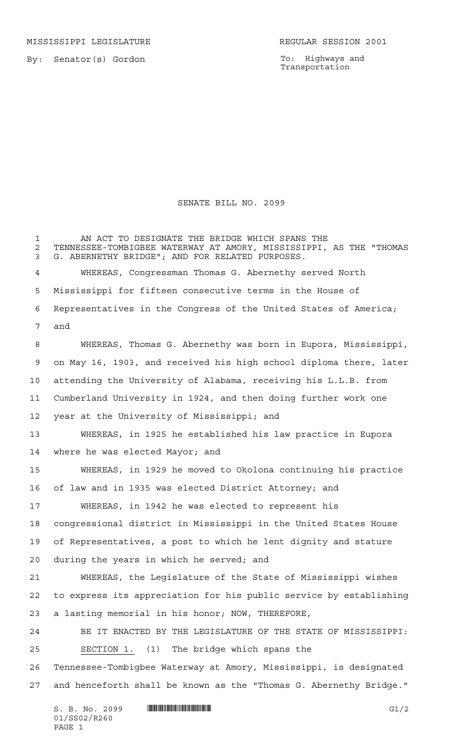MISSISSIPPI LEGISLATURE **REGULAR SESSION 2001** 

By: Senator(s) Gordon

To: Highways and Transportation

## SENATE BILL NO. 2099

1 AN ACT TO DESIGNATE THE BRIDGE WHICH SPANS THE TENNESSEE-TOMBIGBEE WATERWAY AT AMORY, MISSISSIPPI, AS THE "THOMAS G. ABERNETHY BRIDGE"; AND FOR RELATED PURPOSES. WHEREAS, Congressman Thomas G. Abernethy served North Mississippi for fifteen consecutive terms in the House of Representatives in the Congress of the United States of America; and WHEREAS, Thomas G. Abernethy was born in Eupora, Mississippi, on May 16, 1903, and received his high school diploma there, later attending the University of Alabama, receiving his L.L.B. from Cumberland University in 1924, and then doing further work one year at the University of Mississippi; and WHEREAS, in 1925 he established his law practice in Eupora where he was elected Mayor; and WHEREAS, in 1929 he moved to Okolona continuing his practice of law and in 1935 was elected District Attorney; and WHEREAS, in 1942 he was elected to represent his congressional district in Mississippi in the United States House of Representatives, a post to which he lent dignity and stature during the years in which he served; and WHEREAS, the Legislature of the State of Mississippi wishes to express its appreciation for his public service by establishing a lasting memorial in his honor; NOW, THEREFORE, BE IT ENACTED BY THE LEGISLATURE OF THE STATE OF MISSISSIPPI: SECTION 1. (1) The bridge which spans the Tennessee-Tombigbee Waterway at Amory, Mississippi, is designated and henceforth shall be known as the "Thomas G. Abernethy Bridge."

 $S. B. No. 2099$   $\blacksquare$   $\blacksquare$   $\blacksquare$   $\blacksquare$   $\blacksquare$   $\blacksquare$   $\blacksquare$   $\blacksquare$   $\blacksquare$   $\blacksquare$   $\blacksquare$   $\blacksquare$   $\blacksquare$   $\blacksquare$   $\blacksquare$   $\blacksquare$   $\blacksquare$   $\blacksquare$   $\blacksquare$   $\blacksquare$   $\blacksquare$   $\blacksquare$   $\blacksquare$   $\blacksquare$   $\blacksquare$   $\blacksquare$   $\blacksquare$   $\blacksquare$   $\blacksquare$   $\blacks$ 01/SS02/R260 PAGE 1